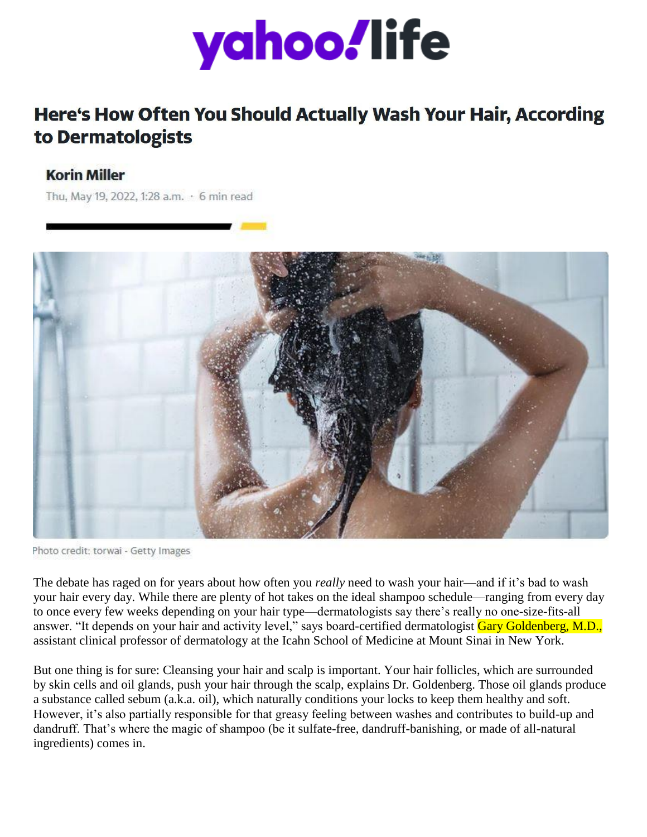

# Here's How Often You Should Actually Wash Your Hair, According to Dermatologists

#### **Korin Miller**

Thu, May 19, 2022, 1:28 a.m. • 6 min read



Photo credit: torwai - Getty Images

The debate has raged on for years about how often you *really* need to wash your hair—and if it's bad to wash your hair every day. While there are plenty of hot takes on the ideal shampoo schedule—ranging from every day to once every few weeks depending on your hair type—dermatologists say there's really no one-size-fits-all answer. "It depends on your hair and activity level," says board-certified dermatologist Gary Goldenberg, M.D., assistant clinical professor of dermatology at the Icahn School of Medicine at Mount Sinai in New York.

But one thing is for sure: Cleansing your hair and scalp is important. Your hair follicles, which are surrounded by skin cells and oil glands, push your hair through the scalp, explains Dr. Goldenberg. Those oil glands produce a substance called sebum (a.k.a. oil), which naturally conditions your locks to keep them healthy and soft. However, it's also partially responsible for that greasy feeling between washes and contributes to build-up and dandruff. That's where the magic of shampoo (be it sulfate-free, dandruff-banishing, or made of all-natural ingredients) comes in.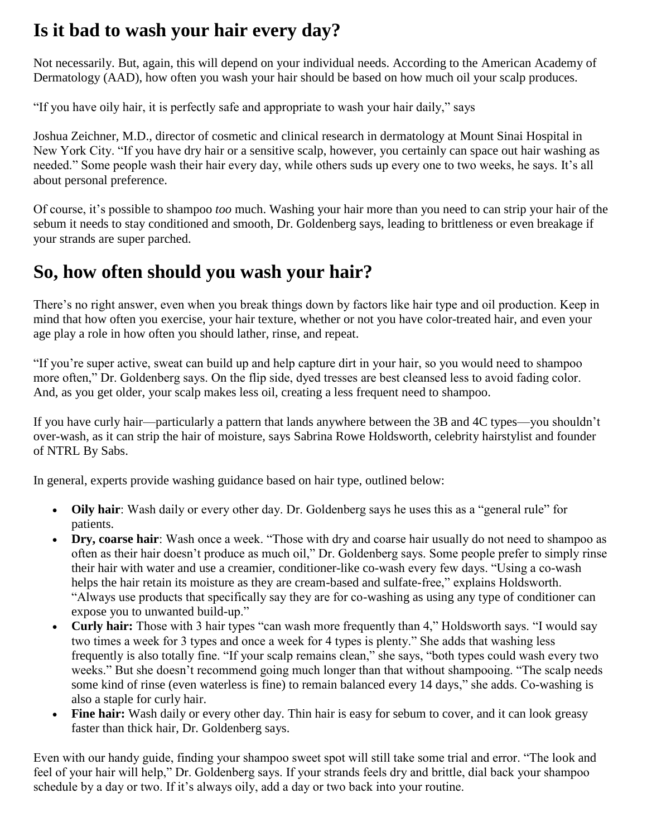# **Is it bad to wash your hair every day?**

Not necessarily. But, again, this will depend on your individual needs. According to the American Academy of Dermatology (AAD), how often you wash your hair should be based on how much oil your scalp produces.

"If you have oily hair, it is perfectly safe and appropriate to wash your hair daily," says

Joshua Zeichner, M.D., director of cosmetic and clinical research in dermatology at Mount Sinai Hospital in New York City. "If you have dry hair or a sensitive scalp, however, you certainly can space out hair washing as needed." Some people wash their hair every day, while others suds up every one to two weeks, he says. It's all about personal preference.

Of course, it's possible to shampoo *too* much. Washing your hair more than you need to can strip your hair of the sebum it needs to stay conditioned and smooth, Dr. Goldenberg says, leading to brittleness or even breakage if your strands are super parched.

## **So, how often should you wash your hair?**

There's no right answer, even when you break things down by factors like hair type and oil production. Keep in mind that how often you exercise, your hair texture, whether or not you have color-treated hair, and even your age play a role in how often you should lather, rinse, and repeat.

"If you're super active, sweat can build up and help capture dirt in your hair, so you would need to shampoo more often," Dr. Goldenberg says. On the flip side, dyed tresses are best cleansed less to avoid fading color. And, as you get older, your scalp makes less oil, creating a less frequent need to shampoo.

If you have curly hair—particularly a pattern that lands anywhere between the 3B and 4C types—you shouldn't over-wash, as it can strip the hair of moisture, says Sabrina Rowe Holdsworth, celebrity hairstylist and founder of NTRL By Sabs.

In general, experts provide washing guidance based on hair type, outlined below:

- **Oily hair**: Wash daily or every other day. Dr. Goldenberg says he uses this as a "general rule" for patients.
- **Dry, coarse hair**: Wash once a week. "Those with dry and coarse hair usually do not need to shampoo as often as their hair doesn't produce as much oil," Dr. Goldenberg says. Some people prefer to simply rinse their hair with water and use a creamier, conditioner-like co-wash every few days. "Using a co-wash helps the hair retain its moisture as they are cream-based and sulfate-free," explains Holdsworth. "Always use products that specifically say they are for co-washing as using any type of conditioner can expose you to unwanted build-up."
- **Curly hair:** Those with 3 hair types "can wash more frequently than 4," Holdsworth says. "I would say two times a week for 3 types and once a week for 4 types is plenty." She adds that washing less frequently is also totally fine. "If your scalp remains clean," she says, "both types could wash every two weeks." But she doesn't recommend going much longer than that without shampooing. "The scalp needs some kind of rinse (even waterless is fine) to remain balanced every 14 days," she adds. Co-washing is also a staple for curly hair.
- Fine hair: Wash daily or every other day. Thin hair is easy for sebum to cover, and it can look greasy faster than thick hair, Dr. Goldenberg says.

Even with our handy guide, finding your shampoo sweet spot will still take some trial and error. "The look and feel of your hair will help," Dr. Goldenberg says. If your strands feels dry and brittle, dial back your shampoo schedule by a day or two. If it's always oily, add a day or two back into your routine.